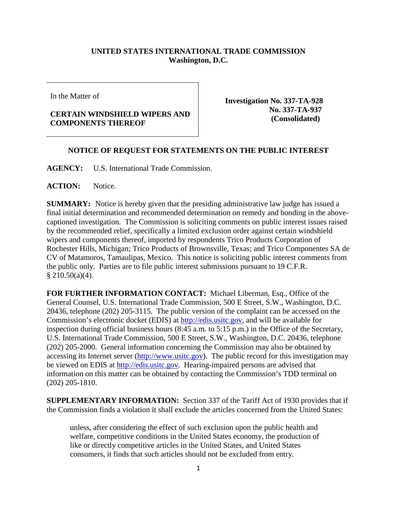## **UNITED STATES INTERNATIONAL TRADE COMMISSION Washington, D.C.**

In the Matter of

## **CERTAIN WINDSHIELD WIPERS AND COMPONENTS THEREOF**

**Investigation No. 337-TA-928 No. 337-TA-937 (Consolidated)**

## **NOTICE OF REQUEST FOR STATEMENTS ON THE PUBLIC INTEREST**

**AGENCY:** U.S. International Trade Commission.

**ACTION:** Notice.

**SUMMARY:** Notice is hereby given that the presiding administrative law judge has issued a final initial determination and recommended determination on remedy and bonding in the abovecaptioned investigation. The Commission is soliciting comments on public interest issues raised by the recommended relief, specifically a limited exclusion order against certain windshield wipers and components thereof, imported by respondents Trico Products Corporation of Rochester Hills, Michigan; Trico Products of Brownsville, Texas; and Trico Componentes SA de CV of Matamoros, Tamaulipas, Mexico. This notice is soliciting public interest comments from the public only. Parties are to file public interest submissions pursuant to 19 C.F.R.  $$210.50(a)(4).$ 

**FOR FURTHER INFORMATION CONTACT:** Michael Liberman, Esq., Office of the General Counsel, U.S. International Trade Commission, 500 E Street, S.W., Washington, D.C. 20436, telephone (202) 205-3115. The public version of the complaint can be accessed on the Commission's electronic docket (EDIS) at [http://edis.usitc.gov,](http://edis.usitc.gov/) and will be available for inspection during official business hours (8:45 a.m. to 5:15 p.m.) in the Office of the Secretary, U.S. International Trade Commission, 500 E Street, S.W., Washington, D.C. 20436, telephone (202) 205-2000. General information concerning the Commission may also be obtained by accessing its Internet server [\(http://www.usitc.gov\)](http://www.usitc.gov/). The public record for this investigation may be viewed on EDIS at [http://edis.usitc.gov](http://edis.usitc.gov/)*.* Hearing-impaired persons are advised that information on this matter can be obtained by contacting the Commission's TDD terminal on (202) 205-1810.

**SUPPLEMENTARY INFORMATION:** Section 337 of the Tariff Act of 1930 provides that if the Commission finds a violation it shall exclude the articles concerned from the United States:

unless, after considering the effect of such exclusion upon the public health and welfare, competitive conditions in the United States economy, the production of like or directly competitive articles in the United States, and United States consumers, it finds that such articles should not be excluded from entry.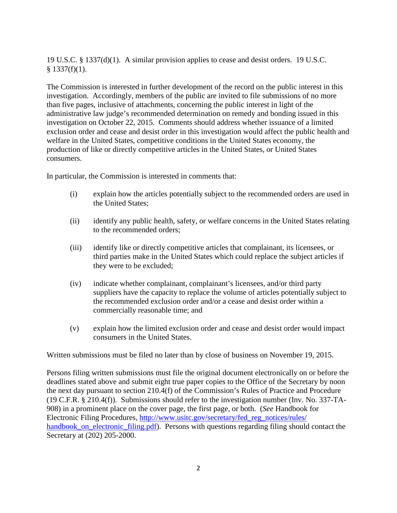19 U.S.C. § 1337(d)(1). A similar provision applies to cease and desist orders. 19 U.S.C.  $§$  1337(f)(1).

The Commission is interested in further development of the record on the public interest in this investigation. Accordingly, members of the public are invited to file submissions of no more than five pages, inclusive of attachments, concerning the public interest in light of the administrative law judge's recommended determination on remedy and bonding issued in this investigation on October 22, 2015. Comments should address whether issuance of a limited exclusion order and cease and desist order in this investigation would affect the public health and welfare in the United States, competitive conditions in the United States economy, the production of like or directly competitive articles in the United States, or United States consumers.

In particular, the Commission is interested in comments that:

- (i) explain how the articles potentially subject to the recommended orders are used in the United States;
- (ii) identify any public health, safety, or welfare concerns in the United States relating to the recommended orders;
- (iii) identify like or directly competitive articles that complainant, its licensees, or third parties make in the United States which could replace the subject articles if they were to be excluded;
- (iv) indicate whether complainant, complainant's licensees, and/or third party suppliers have the capacity to replace the volume of articles potentially subject to the recommended exclusion order and/or a cease and desist order within a commercially reasonable time; and
- (v) explain how the limited exclusion order and cease and desist order would impact consumers in the United States.

Written submissions must be filed no later than by close of business on November 19, 2015.

Persons filing written submissions must file the original document electronically on or before the deadlines stated above and submit eight true paper copies to the Office of the Secretary by noon the next day pursuant to section 210.4(f) of the Commission's Rules of Practice and Procedure (19 C.F.R. § 210.4(f)). Submissions should refer to the investigation number (Inv. No. 337-TA-908) in a prominent place on the cover page, the first page, or both. (*See* Handbook for Electronic Filing Procedures, [http://www.usitc.gov/secretary/fed\\_reg\\_notices/rules/](http://www.usitc.gov/secretary/fed_reg_notices/rules/handbook_on_electronic_filing.pdf) [handbook\\_on\\_electronic\\_filing.pdf\)](http://www.usitc.gov/secretary/fed_reg_notices/rules/handbook_on_electronic_filing.pdf). Persons with questions regarding filing should contact the Secretary at (202) 205-2000.